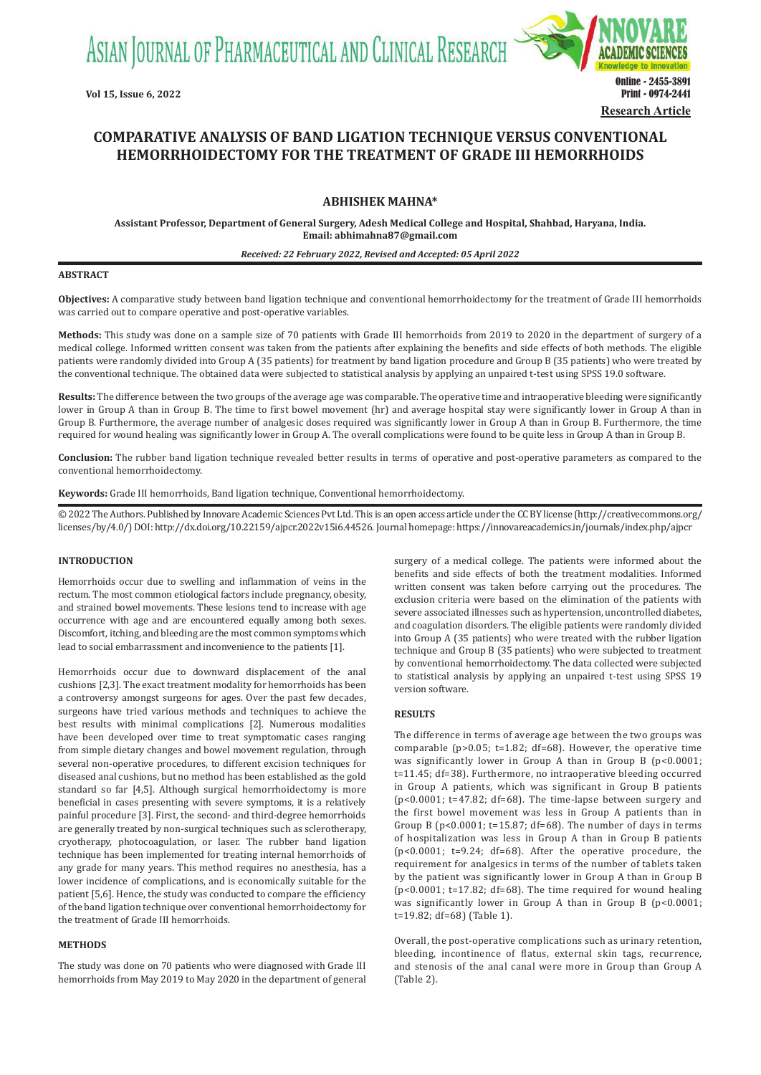ASIAN JOURNAL OF PHARMACEUTICAL AND CLINICAL RESEARCH



# **COMPARATIVE ANALYSIS OF BAND LIGATION TECHNIQUE VERSUS CONVENTIONAL HEMORRHOIDECTOMY FOR THE TREATMENT OF GRADE III HEMORRHOIDS**

## **ABHISHEK MAHNA\***

**Assistant Professor, Department of General Surgery, Adesh Medical College and Hospital, Shahbad, Haryana, India. Email: abhimahna87@gmail.com**

#### *Received: 22 February 2022, Revised and Accepted: 05 April 2022*

#### **ABSTRACT**

**Objectives:** A comparative study between band ligation technique and conventional hemorrhoidectomy for the treatment of Grade III hemorrhoids was carried out to compare operative and post-operative variables.

**Methods:** This study was done on a sample size of 70 patients with Grade III hemorrhoids from 2019 to 2020 in the department of surgery of a medical college. Informed written consent was taken from the patients after explaining the benefits and side effects of both methods. The eligible patients were randomly divided into Group A (35 patients) for treatment by band ligation procedure and Group B (35 patients) who were treated by the conventional technique. The obtained data were subjected to statistical analysis by applying an unpaired t-test using SPSS 19.0 software.

**Results:** The difference between the two groups of the average age was comparable. The operative time and intraoperative bleeding were significantly lower in Group A than in Group B. The time to first bowel movement (hr) and average hospital stay were significantly lower in Group A than in Group B. Furthermore, the average number of analgesic doses required was significantly lower in Group A than in Group B. Furthermore, the time required for wound healing was significantly lower in Group A. The overall complications were found to be quite less in Group A than in Group B.

**Conclusion:** The rubber band ligation technique revealed better results in terms of operative and post-operative parameters as compared to the conventional hemorrhoidectomy.

**Keywords:** Grade III hemorrhoids, Band ligation technique, Conventional hemorrhoidectomy.

© 2022 The Authors. Published by Innovare Academic Sciences Pvt Ltd. This is an open access article under the CC BY license (http://creativecommons.org/ licenses/by/4.0/) DOI: http://dx.doi.org/10.22159/ajpcr.2022v15i6.44526. Journal homepage: https://innovareacademics.in/journals/index.php/ajpcr

## **INTRODUCTION**

Hemorrhoids occur due to swelling and inflammation of veins in the rectum. The most common etiological factors include pregnancy, obesity, and strained bowel movements. These lesions tend to increase with age occurrence with age and are encountered equally among both sexes. Discomfort, itching, and bleeding are the most common symptoms which lead to social embarrassment and inconvenience to the patients [1].

Hemorrhoids occur due to downward displacement of the anal cushions [2,3]. The exact treatment modality for hemorrhoids has been a controversy amongst surgeons for ages. Over the past few decades, surgeons have tried various methods and techniques to achieve the best results with minimal complications [2]. Numerous modalities have been developed over time to treat symptomatic cases ranging from simple dietary changes and bowel movement regulation, through several non-operative procedures, to different excision techniques for diseased anal cushions, but no method has been established as the gold standard so far [4,5]. Although surgical hemorrhoidectomy is more beneficial in cases presenting with severe symptoms, it is a relatively painful procedure [3]. First, the second- and third-degree hemorrhoids are generally treated by non-surgical techniques such as sclerotherapy, cryotherapy, photocoagulation, or laser. The rubber band ligation technique has been implemented for treating internal hemorrhoids of any grade for many years. This method requires no anesthesia, has a lower incidence of complications, and is economically suitable for the patient [5,6]. Hence, the study was conducted to compare the efficiency of the band ligation technique over conventional hemorrhoidectomy for the treatment of Grade III hemorrhoids.

#### **METHODS**

The study was done on 70 patients who were diagnosed with Grade III hemorrhoids from May 2019 to May 2020 in the department of general surgery of a medical college. The patients were informed about the benefits and side effects of both the treatment modalities. Informed written consent was taken before carrying out the procedures. The exclusion criteria were based on the elimination of the patients with severe associated illnesses such as hypertension, uncontrolled diabetes, and coagulation disorders. The eligible patients were randomly divided into Group A (35 patients) who were treated with the rubber ligation technique and Group B (35 patients) who were subjected to treatment by conventional hemorrhoidectomy. The data collected were subjected to statistical analysis by applying an unpaired t-test using SPSS 19 version software.

#### **RESULTS**

The difference in terms of average age between the two groups was comparable (p>0.05; t=1.82; df=68). However, the operative time was significantly lower in Group A than in Group B (p<0.0001; t=11.45; df=38). Furthermore, no intraoperative bleeding occurred in Group A patients, which was significant in Group B patients (p<0.0001; t=47.82; df=68). The time-lapse between surgery and the first bowel movement was less in Group A patients than in Group B (p<0.0001; t=15.87; df=68). The number of days in terms of hospitalization was less in Group A than in Group B patients (p<0.0001; t=9.24; df=68). After the operative procedure, the requirement for analgesics in terms of the number of tablets taken by the patient was significantly lower in Group A than in Group B (p<0.0001; t=17.82; df=68). The time required for wound healing was significantly lower in Group A than in Group B (p<0.0001; t=19.82; df=68) (Table 1).

Overall, the post-operative complications such as urinary retention, bleeding, incontinence of flatus, external skin tags, recurrence, and stenosis of the anal canal were more in Group than Group A (Table 2).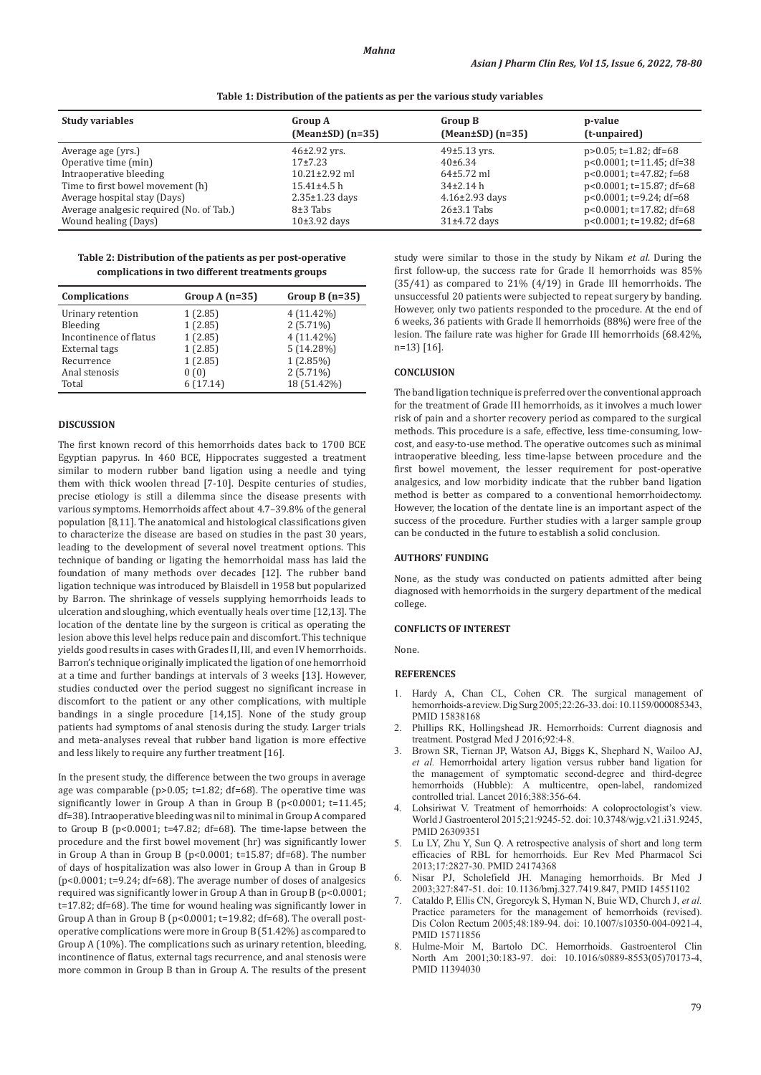| Table 1: Distribution of the patients as per the various study variables |  |  |  |
|--------------------------------------------------------------------------|--|--|--|
|--------------------------------------------------------------------------|--|--|--|

| <b>Group A</b><br>$(Mean \pm SD)$ $(n=35)$ | <b>Group B</b><br>$(Mean \pm SD)$ $(n=35)$            | p-value<br>(t-unpaired)                                                                  |
|--------------------------------------------|-------------------------------------------------------|------------------------------------------------------------------------------------------|
| $46\pm2.92$ yrs.                           | $49\pm5.13$ yrs.                                      | $p > 0.05$ ; t=1.82; df=68                                                               |
| $10.21 \pm 2.92$ ml                        | $64\pm5.72$ ml                                        | $p<0.0001$ ; t=11.45; df=38<br>$p<0.0001$ ; t=47.82; f=68                                |
| $15.41 \pm 4.5$ h                          | $34\pm2.14$ h                                         | $p<0.0001$ ; t=15.87; df=68                                                              |
| $8\pm3$ Tabs                               | $26\pm3.1$ Tabs                                       | $p<0.0001$ ; t=9.24; df=68<br>$p<0.0001$ ; t=17.82; df=68<br>$p<0.0001$ ; t=19.82; df=68 |
|                                            | $17+7.23$<br>$2.35 \pm 1.23$ days<br>$10\pm3.92$ days | $40\pm 6.34$<br>$4.16 \pm 2.93$ days<br>$31\pm4.72$ days                                 |

**Table 2: Distribution of the patients as per post‑operative complications in two different treatments groups**

| Complications          | Group A $(n=35)$ | Group B $(n=35)$ |
|------------------------|------------------|------------------|
| Urinary retention      | 1(2.85)          | $4(11.42\%)$     |
| Bleeding               | 1(2.85)          | $2(5.71\%)$      |
| Incontinence of flatus | 1(2.85)          | $4(11.42\%)$     |
| External tags          | 1(2.85)          | $5(14.28\%)$     |
| Recurrence             | 1(2.85)          | $1(2.85\%)$      |
| Anal stenosis          | 0(0)             | $2(5.71\%)$      |
| Total                  | 6(17.14)         | 18 (51.42%)      |

## **DISCUSSION**

The first known record of this hemorrhoids dates back to 1700 BCE Egyptian papyrus. In 460 BCE, Hippocrates suggested a treatment similar to modern rubber band ligation using a needle and tying them with thick woolen thread [7-10]. Despite centuries of studies, precise etiology is still a dilemma since the disease presents with various symptoms. Hemorrhoids affect about 4.7–39.8% of the general population [8,11]. The anatomical and histological classifications given to characterize the disease are based on studies in the past 30 years, leading to the development of several novel treatment options. This technique of banding or ligating the hemorrhoidal mass has laid the foundation of many methods over decades [12]. The rubber band ligation technique was introduced by Blaisdell in 1958 but popularized by Barron. The shrinkage of vessels supplying hemorrhoids leads to ulceration and sloughing, which eventually heals over time [12,13]. The location of the dentate line by the surgeon is critical as operating the lesion above this level helps reduce pain and discomfort. This technique yields good results in cases with Grades II, III, and even IV hemorrhoids. Barron's technique originally implicated the ligation of one hemorrhoid at a time and further bandings at intervals of 3 weeks [13]. However, studies conducted over the period suggest no significant increase in discomfort to the patient or any other complications, with multiple bandings in a single procedure [14,15]. None of the study group patients had symptoms of anal stenosis during the study. Larger trials and meta-analyses reveal that rubber band ligation is more effective and less likely to require any further treatment [16].

In the present study, the difference between the two groups in average age was comparable (p>0.05; t=1.82; df=68). The operative time was significantly lower in Group A than in Group B (p<0.0001; t=11.45; df=38). Intraoperative bleeding was nil to minimal in Group A compared to Group B (p<0.0001; t=47.82; df=68). The time-lapse between the procedure and the first bowel movement (hr) was significantly lower in Group A than in Group B (p<0.0001; t=15.87; df=68). The number of days of hospitalization was also lower in Group A than in Group B (p<0.0001; t=9.24; df=68). The average number of doses of analgesics required was significantly lower in Group A than in Group B (p<0.0001; t=17.82; df=68). The time for wound healing was significantly lower in Group A than in Group B (p<0.0001; t=19.82; df=68). The overall postoperative complications were more in GroupB (51.42%) as compared to Group A (10%). The complications such as urinary retention, bleeding, incontinence of flatus, external tags recurrence, and anal stenosis were more common in Group B than in Group A. The results of the present study were similar to those in the study by Nikam *et al*. During the first follow-up, the success rate for Grade II hemorrhoids was 85% (35/41) as compared to 21% (4/19) in Grade III hemorrhoids. The unsuccessful 20 patients were subjected to repeat surgery by banding. However, only two patients responded to the procedure. At the end of 6 weeks, 36 patients with Grade II hemorrhoids (88%) were free of the lesion. The failure rate was higher for Grade III hemorrhoids (68.42%, n=13) [16].

## **CONCLUSION**

The band ligation technique is preferred over the conventional approach for the treatment of Grade III hemorrhoids, as it involves a much lower risk of pain and a shorter recovery period as compared to the surgical methods. This procedure is a safe, effective, less time-consuming, lowcost, and easy-to-use method. The operative outcomes such as minimal intraoperative bleeding, less time-lapse between procedure and the first bowel movement, the lesser requirement for post-operative analgesics, and low morbidity indicate that the rubber band ligation method is better as compared to a conventional hemorrhoidectomy. However, the location of the dentate line is an important aspect of the success of the procedure. Further studies with a larger sample group can be conducted in the future to establish a solid conclusion.

#### **AUTHORS' FUNDING**

None, as the study was conducted on patients admitted after being diagnosed with hemorrhoids in the surgery department of the medical college.

#### **CONFLICTS OF INTEREST**

None.

### **REFERENCES**

- 1. Hardy A, Chan CL, Cohen CR. The surgical management of hemorrhoids-a review. Dig Surg 2005;22:26-33. doi:10.1159/000085343, PMID 15838168
- 2. Phillips RK, Hollingshead JR. Hemorrhoids: Current diagnosis and treatment. Postgrad Med J 2016;92:4-8.
- 3. Brown SR, Tiernan JP, Watson AJ, Biggs K, Shephard N, Wailoo AJ, *et al.* Hemorrhoidal artery ligation versus rubber band ligation for the management of symptomatic second-degree and third-degree hemorrhoids (Hubble): A multicentre, open-label, randomized controlled trial. Lancet 2016;388:356-64.
- Lohsiriwat V. Treatment of hemorrhoids: A coloproctologist's view. World J Gastroenterol 2015;21:9245-52. doi: 10.3748/wjg.v21.i31.9245, PMID 26309351
- 5. Lu LY, Zhu Y, Sun Q. A retrospective analysis of short and long term efficacies of RBL for hemorrhoids. Eur Rev Med Pharmacol Sci 2013;17:2827-30. PMID 24174368
- 6. Nisar PJ, Scholefield JH. Managing hemorrhoids. Br Med J 2003;327:847-51. doi: 10.1136/bmj.327.7419.847, PMID 14551102
- 7. Cataldo P, Ellis CN, Gregorcyk S, Hyman N, Buie WD, Church J, *et al.*  Practice parameters for the management of hemorrhoids (revised). Dis Colon Rectum 2005;48:189-94. doi: 10.1007/s10350-004-0921-4, PMID 15711856
- 8. Hulme-Moir M, Bartolo DC. Hemorrhoids. Gastroenterol Clin North Am 2001;30:183-97. doi: 10.1016/s0889-8553(05)70173-4, PMID 11394030